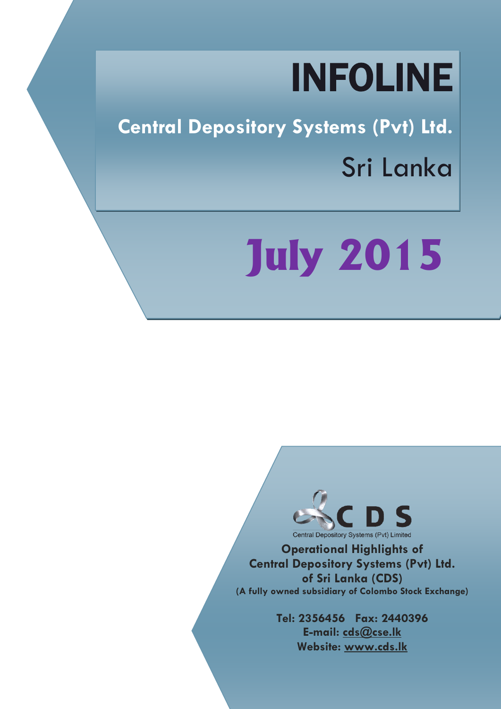## INFOLINE

**Central Depository Systems (Pvt) Ltd.** Sri Lanka

# **July 2015**



**Operational Highlights of Central Depository Systems (Pvt) Ltd. of Sri Lanka (CDS) (A fully owned subsidiary of Colombo Stock Exchange)**

> **Tel: 2356456 Fax: 2440396 E-mail: cds@cse.lk Website: www.cds.lk**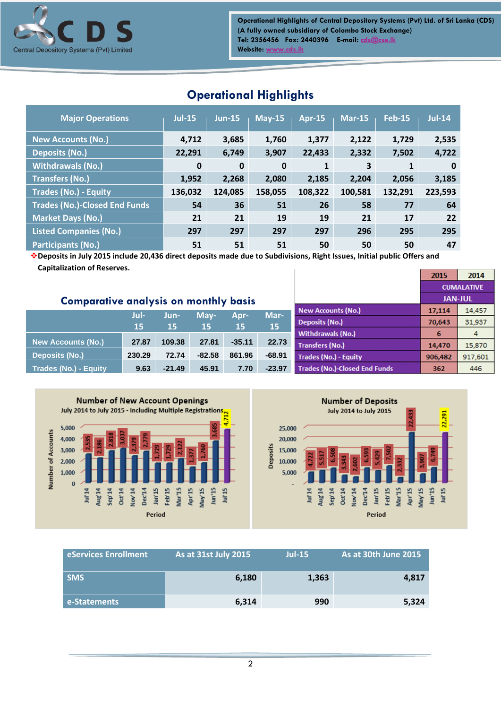

**Operational Highlights of Central Depository Systems (Pvt) Ltd. of Sri Lanka (CDS) (A fully owned subsidiary of Colombo Stock Exchange) Tel: 2356456 Fax: 2440396 E-mail[: cds@cse.lk](mailto:cds@cse.lk) Website: [www.cds.lk](http://www.cds.lk/)**

| <b>Major Operations</b>              | <b>Jul-15</b> | $Jun-15$    | $May-15$     | <b>Apr-15</b> | $Mar-15$ | <b>Feb-15</b> | $Jul-14$ |
|--------------------------------------|---------------|-------------|--------------|---------------|----------|---------------|----------|
| <b>New Accounts (No.)</b>            | 4,712         | 3,685       | 1,760        | 1,377         | 2,122    | 1,729         | 2,535    |
| <b>Deposits (No.)</b>                | 22,291        | 6,749       | 3,907        | 22,433        | 2,332    | 7,502         | 4,722    |
| <b>Withdrawals (No.)</b>             | $\mathbf 0$   | $\mathbf 0$ | $\mathbf{0}$ | 1             | 3        | 1             | $\bf{0}$ |
| <b>Transfers (No.)</b>               | 1,952         | 2,268       | 2,080        | 2,185         | 2,204    | 2,056         | 3,185    |
| <b>Trades (No.) - Equity</b>         | 136,032       | 124,085     | 158,055      | 108,322       | 100,581  | 132,291       | 223,593  |
| <b>Trades (No.)-Closed End Funds</b> | 54            | 36          | 51           | 26            | 58       | 77            | 64       |
| Market Days (No.)                    | 21            | 21          | 19           | 19            | 21       | 17            | 22       |
| <b>Listed Companies (No.)</b>        | 297           | 297         | 297          | 297           | 296      | 295           | 295      |
| <b>Participants (No.)</b>            | 51            | 51          | 51           | 50            | 50       | 50            | 47       |

## **Operational Highlights**

**Deposits in July 2015 include 20,436 direct deposits made due to Subdivisions, Right Issues, Initial public Offers and Capitalization of Reserves.** 2015

|                                              |        |          |          |          |           |                                      |         | <b>CUMALATIVE</b> |
|----------------------------------------------|--------|----------|----------|----------|-----------|--------------------------------------|---------|-------------------|
| <b>Comparative analysis on monthly basis</b> |        |          |          |          |           |                                      |         | <b>JAN-JUL</b>    |
|                                              | Jul-   | Jun-     | May-     | Apr-     | Mar-      | <b>New Accounts (No.)</b>            | 17,114  | 14,457            |
|                                              | 15     | 15       | 15       | 15       | <b>15</b> | <b>Deposits (No.)</b>                | 70,643  | 31,937            |
|                                              |        |          |          |          |           | <b>Withdrawals (No.)</b>             | 6       | 4                 |
| <b>New Accounts (No.)</b>                    | 27.87  | 109.38   | 27.81    | $-35.11$ | 22.73     | <b>Transfers (No.)</b>               | 14,470  | 15,870            |
| <b>Deposits (No.)</b>                        | 230.29 | 72.74    | $-82.58$ | 861.96   | $-68.91$  | <b>Trades (No.) - Equity</b>         | 906,482 | 917,601           |
| <b>Trades (No.) - Equity</b>                 | 9.63   | $-21.49$ | 45.91    | 7.70     | $-23.97$  | <b>Trades (No.)-Closed End Funds</b> | 362     | 446               |





 $2014$ 

| eServices Enrollment | <b>As at 31st July 2015</b> | $Jul-15$ | As at 30th June 2015 |
|----------------------|-----------------------------|----------|----------------------|
| <b>SMS</b>           | 6,180                       | 1,363    | 4,817                |
| e-Statements         | 6,314                       | 990      | 5,324                |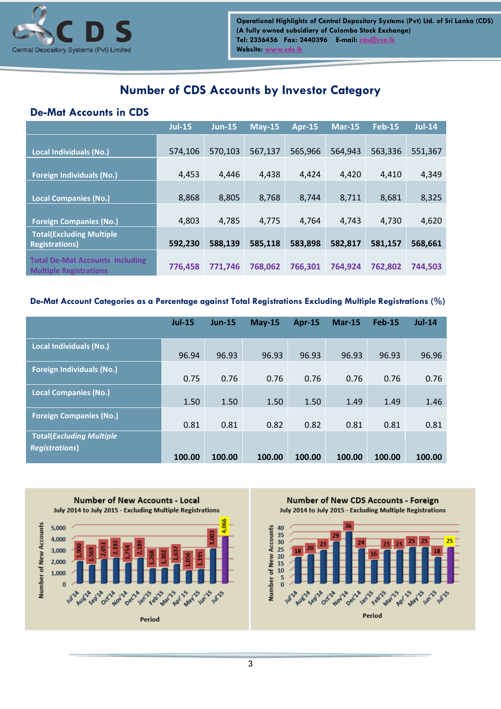

## **Number of CDS Accounts by Investor Category**

### **De-Mat Accounts in CDS**

|                                                                         | <b>Jul-15</b> | $Jun-15$ | $May-15$ | <b>Apr-15</b> | $Mar-15$ | <b>Feb-15</b> | <b>Jul-14</b> |
|-------------------------------------------------------------------------|---------------|----------|----------|---------------|----------|---------------|---------------|
| <b>Local Individuals (No.)</b>                                          | 574,106       | 570,103  | 567,137  | 565,966       | 564,943  | 563,336       | 551,367       |
| <b>Foreign Individuals (No.)</b>                                        | 4,453         | 4,446    | 4,438    | 4,424         | 4,420    | 4,410         | 4,349         |
| <b>Local Companies (No.)</b>                                            | 8,868         | 8,805    | 8,768    | 8,744         | 8,711    | 8,681         | 8,325         |
| <b>Foreign Companies (No.)</b>                                          | 4,803         | 4,785    | 4,775    | 4,764         | 4,743    | 4,730         | 4,620         |
| <b>Total(Excluding Multiple</b><br><b>Registrations)</b>                | 592,230       | 588,139  | 585,118  | 583,898       | 582,817  | 581,157       | 568,661       |
| <b>Total De-Mat Accounts Including</b><br><b>Multiple Registrations</b> | 776,458       | 771,746  | 768,062  | 766.301       | 764,924  | 762,802       | 744,503       |

#### **De-Mat Account Categories as a Percentage against Total Registrations Excluding Multiple Registrations (%)**

|                                                           | $Jul-15$ | $Jun-15$ | $May-15$ | <b>Apr-15</b> | <b>Mar-15</b> | <b>Feb-15</b> | $Jul-14$ |
|-----------------------------------------------------------|----------|----------|----------|---------------|---------------|---------------|----------|
| <b>Local Individuals (No.)</b>                            | 96.94    | 96.93    | 96.93    | 96.93         | 96.93         | 96.93         | 96.96    |
| <b>Foreign Individuals (No.)</b>                          | 0.75     | 0.76     | 0.76     | 0.76          | 0.76          | 0.76          | 0.76     |
| <b>Local Companies (No.)</b>                              | 1.50     | 1.50     | 1.50     | 1.50          | 1.49          | 1.49          | 1.46     |
| <b>Foreign Companies (No.)</b>                            | 0.81     | 0.81     | 0.82     | 0.82          | 0.81          | 0.81          | 0.81     |
| <b>Total(Excluding Multiple</b><br><b>Registrations</b> ) | 100.00   | 100.00   | 100.00   | 100.00        | 100.00        | 100.00        | 100.00   |

**Number of New Accounts - Local** July 2014 to July 2015 - Excluding Multiple Registrations Number of New Accounts 5,000 4,000 3,000 2,000 1,000 **May 15 Samples ARY 15 SI POINT Maritis SAWA**S **A** variable **A** ct<sup>10</sup> Nov'14 oec1 Period

Number of New CDS Accounts - Foreign July 2014 to July 2015 - Excluding Multiple Registrations

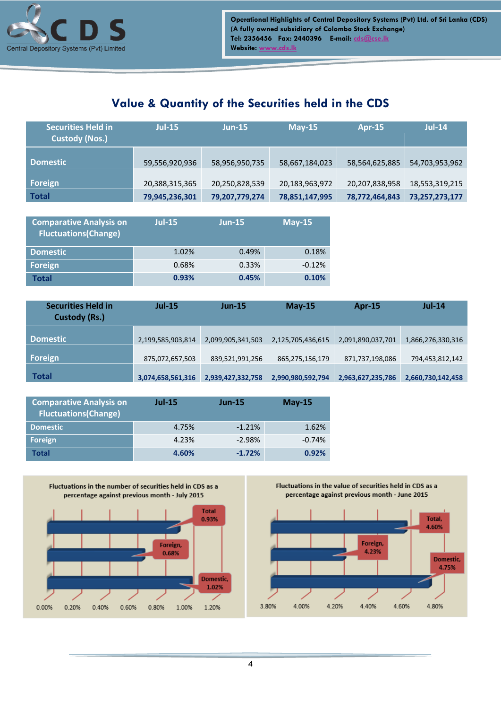

## **Value & Quantity of the Securities held in the CDS**

| <b>Securities Held in</b><br><b>Custody (Nos.)</b> | $Jul-15$       | $Jun-15$       | $May-15$       | <b>Apr-15</b>  | $Jul-14$       |
|----------------------------------------------------|----------------|----------------|----------------|----------------|----------------|
| <b>Domestic</b>                                    | 59,556,920,936 | 58,956,950,735 | 58,667,184,023 | 58,564,625,885 | 54,703,953,962 |
| Foreign                                            | 20,388,315,365 | 20,250,828,539 | 20,183,963,972 | 20,207,838,958 | 18,553,319,215 |
| <b>Total</b>                                       | 79,945,236,301 | 79,207,779,274 | 78,851,147,995 | 78,772,464,843 | 73,257,273,177 |

| <b>Comparative Analysis on</b><br><b>Fluctuations(Change)</b> | $Jul-15$ | $Jun-15$ | $May-15$ |
|---------------------------------------------------------------|----------|----------|----------|
| <b>Domestic</b>                                               | 1.02%    | 0.49%    | 0.18%    |
| Foreign                                                       | 0.68%    | 0.33%    | $-0.12%$ |
| Total                                                         | 0.93%    | 0.45%    | 0.10%    |

| <b>Securities Held in</b><br><b>Custody (Rs.)</b> | $Jul-15$          | <b>Jun-15</b>     | $May-15$          | <b>Apr-15</b>     | $Jul-14$          |
|---------------------------------------------------|-------------------|-------------------|-------------------|-------------------|-------------------|
| <b>Domestic</b>                                   | 2,199,585,903,814 | 2,099,905,341,503 | 2,125,705,436,615 | 2,091,890,037,701 | 1,866,276,330,316 |
| <b>Foreign</b>                                    | 875,072,657,503   | 839,521,991,256   | 865,275,156,179   | 871,737,198,086   | 794,453,812,142   |
| <b>Total</b>                                      | 3,074,658,561,316 | 2,939,427,332,758 | 2,990,980,592,794 | 2,963,627,235,786 | 2,660,730,142,458 |

| <b>Comparative Analysis on</b><br><b>Fluctuations(Change)</b> | $Jul-15$ | $Jun-15$ | $May-15$ |
|---------------------------------------------------------------|----------|----------|----------|
| <b>Domestic</b>                                               | 4.75%    | $-1.21%$ | 1.62%    |
| Foreign                                                       | 4.23%    | $-2.98%$ | $-0.74%$ |
| <b>Total</b>                                                  | 4.60%    | $-1.72%$ | 0.92%    |



Fluctuations in the value of securities held in CDS as a percentage against previous month - June 2015



4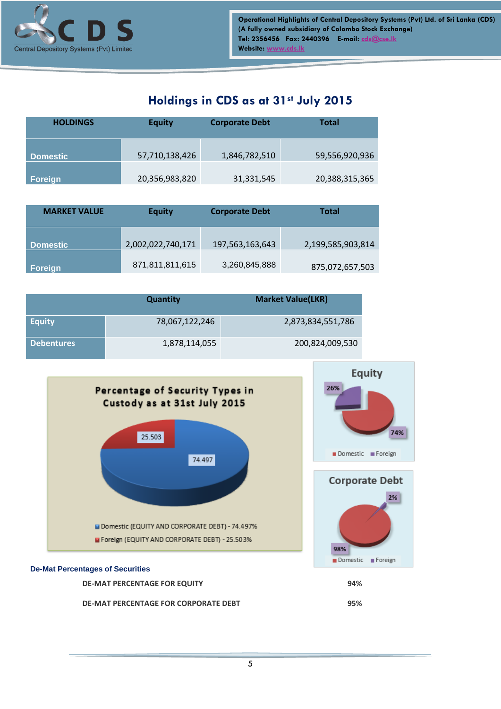

## **Holdings in CDS as at 31st July 2015**

| <b>HOLDINGS</b> | <b>Equity</b>  | <b>Corporate Debt</b> | Total          |
|-----------------|----------------|-----------------------|----------------|
| <b>Domestic</b> | 57,710,138,426 | 1,846,782,510         | 59,556,920,936 |
| Foreign         | 20,356,983,820 | 31,331,545            | 20,388,315,365 |

| <b>MARKET VALUE</b> | <b>Equity</b>     | <b>Corporate Debt</b> | <b>Total</b>      |
|---------------------|-------------------|-----------------------|-------------------|
| <b>Domestic</b>     | 2,002,022,740,171 | 197,563,163,643       | 2,199,585,903,814 |
| Foreign             | 871,811,811,615   | 3,260,845,888         | 875,072,657,503   |

|                   | <b>Quantity</b> | <b>Market Value(LKR)</b> |
|-------------------|-----------------|--------------------------|
| <b>Equity</b>     | 78,067,122,246  | 2,873,834,551,786        |
| <b>Debentures</b> | 1,878,114,055   | 200,824,009,530          |



**DE-MAT PERCENTAGE FOR CORPORATE DEBT 95%**